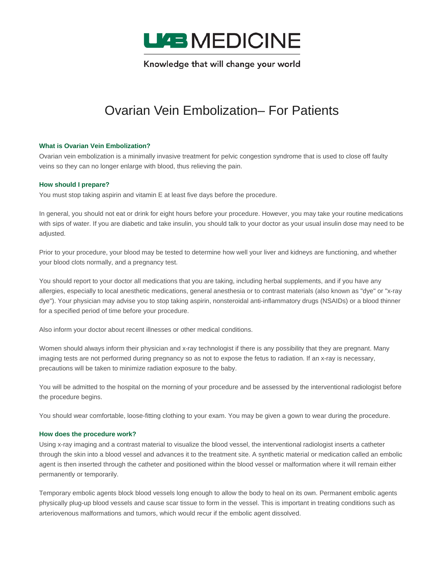

Knowledge that will change your world

# Ovarian Vein Embolization– For Patients

# **What is Ovarian Vein Embolization?**

Ovarian vein embolization is a minimally invasive treatment for pelvic congestion syndrome that is used to close off faulty veins so they can no longer enlarge with blood, thus relieving the pain.

# **How should I prepare?**

You must stop taking aspirin and vitamin E at least five days before the procedure.

In general, you should not eat or drink for eight hours before your procedure. However, you may take your routine medications with sips of water. If you are diabetic and take insulin, you should talk to your doctor as your usual insulin dose may need to be adjusted.

Prior to your procedure, your blood may be tested to determine how well your liver and kidneys are functioning, and whether your blood clots normally, and a pregnancy test.

You should report to your doctor all medications that you are taking, including herbal supplements, and if you have any allergies, especially to local anesthetic medications, general anesthesia or to contrast materials (also known as "dye" or "x-ray dye"). Your physician may advise you to stop taking aspirin, nonsteroidal anti-inflammatory drugs (NSAIDs) or a blood thinner for a specified period of time before your procedure.

Also inform your doctor about recent illnesses or other medical conditions.

Women should always inform their physician and x-ray technologist if there is any possibility that they are pregnant. Many imaging tests are not performed during pregnancy so as not to expose the fetus to radiation. If an x-ray is necessary, precautions will be taken to minimize radiation exposure to the baby.

You will be admitted to the hospital on the morning of your procedure and be assessed by the interventional radiologist before the procedure begins.

You should wear comfortable, loose-fitting clothing to your exam. You may be given a gown to wear during the procedure.

# **How does the procedure work?**

Using x-ray imaging and a contrast material to visualize the blood vessel, the interventional radiologist inserts a catheter through the skin into a blood vessel and advances it to the treatment site. A synthetic material or medication called an embolic agent is then inserted through the catheter and positioned within the blood vessel or malformation where it will remain either permanently or temporarily.

Temporary embolic agents block blood vessels long enough to allow the body to heal on its own. Permanent embolic agents physically plug-up blood vessels and cause scar tissue to form in the vessel. This is important in treating conditions such as arteriovenous malformations and tumors, which would recur if the embolic agent dissolved.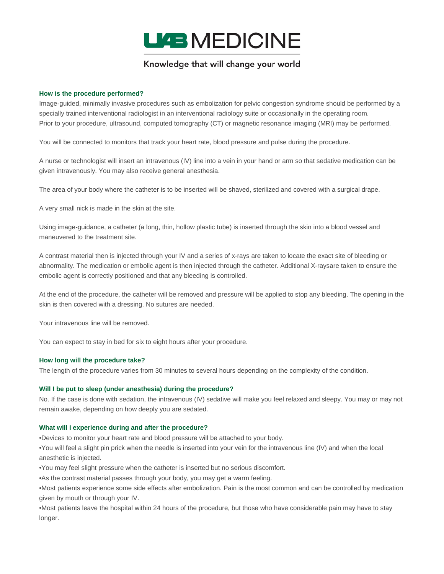

# Knowledge that will change your world

# **How is the procedure performed?**

Image-guided, minimally invasive procedures such as embolization for pelvic congestion syndrome should be performed by a specially trained interventional radiologist in an interventional radiology suite or occasionally in the operating room. Prior to your procedure, ultrasound, computed tomography (CT) or magnetic resonance imaging (MRI) may be performed.

You will be connected to monitors that track your heart rate, blood pressure and pulse during the procedure.

A nurse or technologist will insert an intravenous (IV) line into a vein in your hand or arm so that sedative medication can be given intravenously. You may also receive general anesthesia.

The area of your body where the catheter is to be inserted will be shaved, sterilized and covered with a surgical drape.

A very small nick is made in the skin at the site.

Using image-guidance, a catheter (a long, thin, hollow plastic tube) is inserted through the skin into a blood vessel and maneuvered to the treatment site.

A contrast material then is injected through your IV and a series of x-rays are taken to locate the exact site of bleeding or abnormality. The medication or embolic agent is then injected through the catheter. Additional X-raysare taken to ensure the embolic agent is correctly positioned and that any bleeding is controlled.

At the end of the procedure, the catheter will be removed and pressure will be applied to stop any bleeding. The opening in the skin is then covered with a dressing. No sutures are needed.

Your intravenous line will be removed.

You can expect to stay in bed for six to eight hours after your procedure.

#### **How long will the procedure take?**

The length of the procedure varies from 30 minutes to several hours depending on the complexity of the condition.

#### **Will I be put to sleep (under anesthesia) during the procedure?**

No. If the case is done with sedation, the intravenous (IV) sedative will make you feel relaxed and sleepy. You may or may not remain awake, depending on how deeply you are sedated.

#### **What will I experience during and after the procedure?**

•Devices to monitor your heart rate and blood pressure will be attached to your body.

•You will feel a slight pin prick when the needle is inserted into your vein for the intravenous line (IV) and when the local anesthetic is injected.

•You may feel slight pressure when the catheter is inserted but no serious discomfort.

•As the contrast material passes through your body, you may get a warm feeling.

•Most patients experience some side effects after embolization. Pain is the most common and can be controlled by medication given by mouth or through your IV.

•Most patients leave the hospital within 24 hours of the procedure, but those who have considerable pain may have to stay longer.